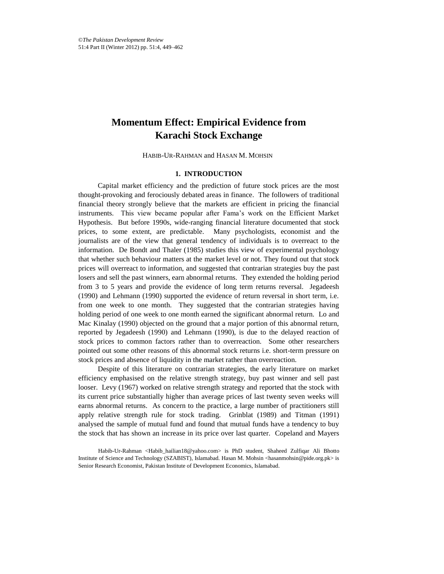# **Momentum Effect: Empirical Evidence from Karachi Stock Exchange**

HABIB-UR-RAHMAN and HASAN M. MOHSIN\*

# **1. INTRODUCTION**

Capital market efficiency and the prediction of future stock prices are the most thought-provoking and ferociously debated areas in finance. The followers of traditional financial theory strongly believe that the markets are efficient in pricing the financial instruments. This view became popular after Fama's work on the Efficient Market Hypothesis. But before 1990s, wide-ranging financial literature documented that stock prices, to some extent, are predictable. Many psychologists, economist and the journalists are of the view that general tendency of individuals is to overreact to the information. De Bondt and Thaler (1985) studies this view of experimental psychology that whether such behaviour matters at the market level or not. They found out that stock prices will overreact to information, and suggested that contrarian strategies buy the past losers and sell the past winners, earn abnormal returns. They extended the holding period from 3 to 5 years and provide the evidence of long term returns reversal. Jegadeesh (1990) and Lehmann (1990) supported the evidence of return reversal in short term, i.e. from one week to one month. They suggested that the contrarian strategies having holding period of one week to one month earned the significant abnormal return. Lo and Mac Kinalay (1990) objected on the ground that a major portion of this abnormal return, reported by Jegadeesh (1990) and Lehmann (1990), is due to the delayed reaction of stock prices to common factors rather than to overreaction. Some other researchers pointed out some other reasons of this abnormal stock returns i.e. short-term pressure on stock prices and absence of liquidity in the market rather than overreaction.

Despite of this literature on contrarian strategies, the early literature on market efficiency emphasised on the relative strength strategy, buy past winner and sell past looser. Levy (1967) worked on relative strength strategy and reported that the stock with its current price substantially higher than average prices of last twenty seven weeks will earns abnormal returns. As concern to the practice, a large number of practitioners still apply relative strength rule for stock trading. Grinblat (1989) and Titman (1991) analysed the sample of mutual fund and found that mutual funds have a tendency to buy the stock that has shown an increase in its price over last quarter. Copeland and Mayers

Habib-Ur-Rahman <Habib\_hailian18@yahoo.com> is PhD student, Shaheed Zulfiqar Ali Bhotto Institute of Science and Technology (SZABIST), Islamabad. Hasan M. Mohsin <hasanmohsin@pide.org.pk> is Senior Research Economist, Pakistan Institute of Development Economics, Islamabad.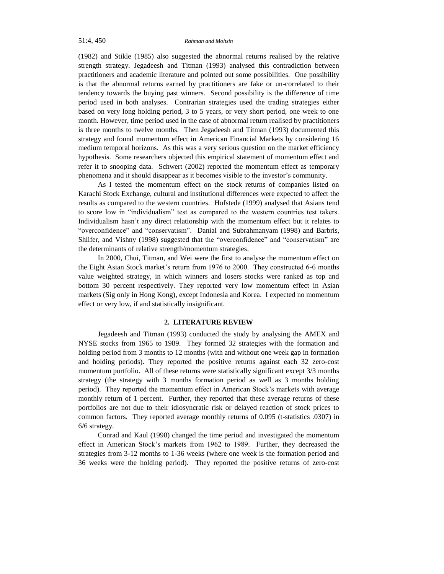(1982) and Stikle (1985) also suggested the abnormal returns realised by the relative strength strategy. Jegadeesh and Titman (1993) analysed this contradiction between practitioners and academic literature and pointed out some possibilities. One possibility is that the abnormal returns earned by practitioners are fake or un-correlated to their tendency towards the buying past winners. Second possibility is the difference of time period used in both analyses. Contrarian strategies used the trading strategies either based on very long holding period, 3 to 5 years, or very short period, one week to one month. However, time period used in the case of abnormal return realised by practitioners is three months to twelve months. Then Jegadeesh and Titman (1993) documented this strategy and found momentum effect in American Financial Markets by considering 16 medium temporal horizons. As this was a very serious question on the market efficiency hypothesis. Some researchers objected this empirical statement of momentum effect and refer it to snooping data. Schwert (2002) reported the momentum effect as temporary phenomena and it should disappear as it becomes visible to the investor's community.

As I tested the momentum effect on the stock returns of companies listed on Karachi Stock Exchange, cultural and institutional differences were expected to affect the results as compared to the western countries. Hofstede (1999) analysed that Asians tend to score low in "individualism" test as compared to the western countries test takers. Individualism hasn't any direct relationship with the momentum effect but it relates to "overconfidence" and "conservatism". Danial and Subrahmanyam (1998) and Barbris, Shlifer, and Vishny (1998) suggested that the "overconfidence" and "conservatism" are the determinants of relative strength/momentum strategies.

In 2000, Chui, Titman, and Wei were the first to analyse the momentum effect on the Eight Asian Stock market's return from 1976 to 2000. They constructed 6-6 months value weighted strategy, in which winners and losers stocks were ranked as top and bottom 30 percent respectively. They reported very low momentum effect in Asian markets (Sig only in Hong Kong), except Indonesia and Korea. I expected no momentum effect or very low, if and statistically insignificant.

# **2. LITERATURE REVIEW**

Jegadeesh and Titman (1993) conducted the study by analysing the AMEX and NYSE stocks from 1965 to 1989. They formed 32 strategies with the formation and holding period from 3 months to 12 months (with and without one week gap in formation and holding periods). They reported the positive returns against each 32 zero-cost momentum portfolio. All of these returns were statistically significant except 3/3 months strategy (the strategy with 3 months formation period as well as 3 months holding period). They reported the momentum effect in American Stock's markets with average monthly return of 1 percent. Further, they reported that these average returns of these portfolios are not due to their idiosyncratic risk or delayed reaction of stock prices to common factors. They reported average monthly returns of 0.095 (t-statistics .0307) in 6/6 strategy.

Conrad and Kaul (1998) changed the time period and investigated the momentum effect in American Stock's markets from 1962 to 1989. Further, they decreased the strategies from 3-12 months to 1-36 weeks (where one week is the formation period and 36 weeks were the holding period). They reported the positive returns of zero-cost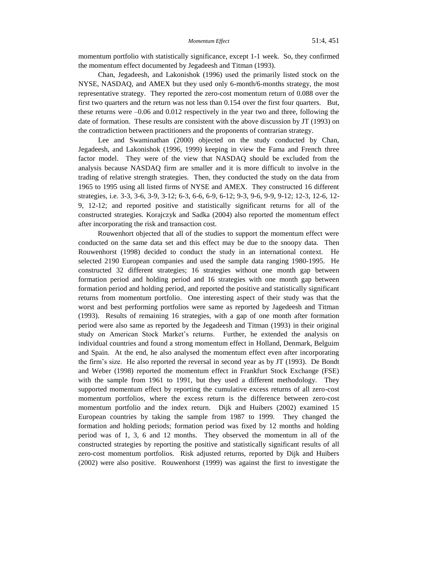momentum portfolio with statistically significance, except 1-1 week. So, they confirmed the momentum effect documented by Jegadeesh and Titman (1993).

Chan, Jegadeesh, and Lakonishok (1996) used the primarily listed stock on the NYSE, NASDAQ, and AMEX but they used only 6-month/6-months strategy, the most representative strategy. They reported the zero-cost momentum return of 0.088 over the first two quarters and the return was not less than 0.154 over the first four quarters. But, these returns were –0.06 and 0.012 respectively in the year two and three, following the date of formation. These results are consistent with the above discussion by JT (1993) on the contradiction between practitioners and the proponents of contrarian strategy.

Lee and Swaminathan (2000) objected on the study conducted by Chan, Jegadeesh, and Lakonishok (1996, 1999) keeping in view the Fama and French three factor model. They were of the view that NASDAQ should be excluded from the analysis because NASDAQ firm are smaller and it is more difficult to involve in the trading of relative strength strategies. Then, they conducted the study on the data from 1965 to 1995 using all listed firms of NYSE and AMEX. They constructed 16 different strategies, i.e. 3-3, 3-6, 3-9, 3-12; 6-3, 6-6, 6-9, 6-12; 9-3, 9-6, 9-9, 9-12; 12-3, 12-6, 12- 9, 12-12; and reported positive and statistically significant returns for all of the constructed strategies. Korajczyk and Sadka (2004) also reported the momentum effect after incorporating the risk and transaction cost.

Rouwenhort objected that all of the studies to support the momentum effect were conducted on the same data set and this effect may be due to the snoopy data. Then Rouwenhorst (1998) decided to conduct the study in an international context. He selected 2190 European companies and used the sample data ranging 1980-1995. He constructed 32 different strategies; 16 strategies without one month gap between formation period and holding period and 16 strategies with one month gap between formation period and holding period, and reported the positive and statistically significant returns from momentum portfolio. One interesting aspect of their study was that the worst and best performing portfolios were same as reported by Jagedeesh and Titman (1993). Results of remaining 16 strategies, with a gap of one month after formation period were also same as reported by the Jegadeesh and Titman (1993) in their original study on American Stock Market's returns. Further, he extended the analysis on individual countries and found a strong momentum effect in Holland, Denmark, Belguim and Spain. At the end, he also analysed the momentum effect even after incorporating the firm's size. He also reported the reversal in second year as by JT (1993). De Bondt and Weber (1998) reported the momentum effect in Frankfurt Stock Exchange (FSE) with the sample from 1961 to 1991, but they used a different methodology. They supported momentum effect by reporting the cumulative excess returns of all zero-cost momentum portfolios, where the excess return is the difference between zero-cost momentum portfolio and the index return. Dijk and Huibers (2002) examined 15 European countries by taking the sample from 1987 to 1999. They changed the formation and holding periods; formation period was fixed by 12 months and holding period was of 1, 3, 6 and 12 months. They observed the momentum in all of the constructed strategies by reporting the positive and statistically significant results of all zero-cost momentum portfolios. Risk adjusted returns, reported by Dijk and Huibers (2002) were also positive. Rouwenhorst (1999) was against the first to investigate the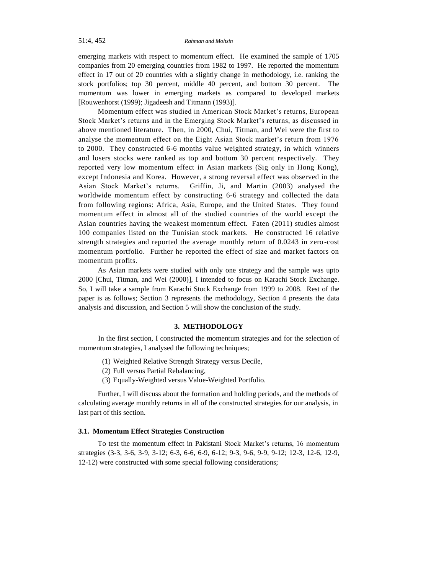## 51:4, 452 *Rahman and Mohsin*

emerging markets with respect to momentum effect. He examined the sample of 1705 companies from 20 emerging countries from 1982 to 1997. He reported the momentum effect in 17 out of 20 countries with a slightly change in methodology, i.e. ranking the stock portfolios; top 30 percent, middle 40 percent, and bottom 30 percent. The momentum was lower in emerging markets as compared to developed markets [Rouwenhorst (1999); Jigadeesh and Titmann (1993)].

Momentum effect was studied in American Stock Market's returns, European Stock Market's returns and in the Emerging Stock Market's returns, as discussed in above mentioned literature. Then, in 2000, Chui, Titman, and Wei were the first to analyse the momentum effect on the Eight Asian Stock market's return from 1976 to 2000. They constructed 6-6 months value weighted strategy, in which winners and losers stocks were ranked as top and bottom 30 percent respectively. They reported very low momentum effect in Asian markets (Sig only in Hong Kong), except Indonesia and Korea. However, a strong reversal effect was observed in the Asian Stock Market's returns. Griffin, Ji, and Martin (2003) analysed the worldwide momentum effect by constructing 6-6 strategy and collected the data from following regions: Africa, Asia, Europe, and the United States. They found momentum effect in almost all of the studied countries of the world except the Asian countries having the weakest momentum effect. Faten (2011) studies almost 100 companies listed on the Tunisian stock markets. He constructed 16 relative strength strategies and reported the average monthly return of 0.0243 in zero -cost momentum portfolio. Further he reported the effect of size and market factors on momentum profits.

As Asian markets were studied with only one strategy and the sample was upto 2000 [Chui, Titman, and Wei (2000)], I intended to focus on Karachi Stock Exchange. So, I will take a sample from Karachi Stock Exchange from 1999 to 2008. Rest of the paper is as follows; Section 3 represents the methodology, Section 4 presents the data analysis and discussion, and Section 5 will show the conclusion of the study.

#### **3. METHODOLOGY**

In the first section, I constructed the momentum strategies and for the selection of momentum strategies, I analysed the following techniques;

- (1) Weighted Relative Strength Strategy versus Decile,
- (2) Full versus Partial Rebalancing,
- (3) Equally-Weighted versus Value-Weighted Portfolio.

Further, I will discuss about the formation and holding periods, and the methods of calculating average monthly returns in all of the constructed strategies for our analysis, in last part of this section.

#### **3.1. Momentum Effect Strategies Construction**

To test the momentum effect in Pakistani Stock Market's returns, 16 momentum strategies (3-3, 3-6, 3-9, 3-12; 6-3, 6-6, 6-9, 6-12; 9-3, 9-6, 9-9, 9-12; 12-3, 12-6, 12-9, 12-12) were constructed with some special following considerations;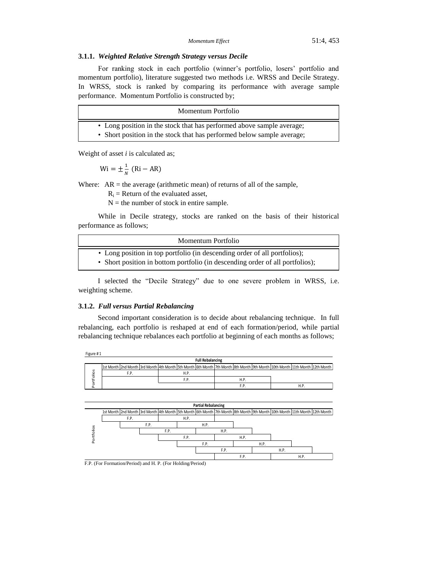# **3.1.1.** *Weighted Relative Strength Strategy versus Decile*

For ranking stock in each portfolio (winner's portfolio, losers' portfolio and momentum portfolio), literature suggested two methods i.e. WRSS and Decile Strategy. In WRSS, stock is ranked by comparing its performance with average sample performance. Momentum Portfolio is constructed by;

| Momentum Portfolio                                                                                                                              |  |
|-------------------------------------------------------------------------------------------------------------------------------------------------|--|
| • Long position in the stock that has performed above sample average;<br>• Short position in the stock that has performed below sample average; |  |

Weight of asset *i* is calculated as;

 $Wi = \pm \frac{1}{N}$  $\frac{1}{N}$  (

Where:  $AR =$  the average (arithmetic mean) of returns of all of the sample,

 $R_i$  = Return of the evaluated asset,

 $N =$  the number of stock in entire sample.

While in Decile strategy, stocks are ranked on the basis of their historical performance as follows;

| Momentum Portfolio                                                                                                                                         |
|------------------------------------------------------------------------------------------------------------------------------------------------------------|
| • Long position in top portfolio (in descending order of all portfolios);<br>• Short position in bottom portfolio (in descending order of all portfolios); |

I selected the "Decile Strategy" due to one severe problem in WRSS, i.e. weighting scheme.

## **3.1.2.** *Full versus Partial Rebalancing*

Second important consideration is to decide about rebalancing technique. In full rebalancing, each portfolio is reshaped at end of each formation/period, while partial rebalancing technique rebalances each portfolio at beginning of each months as follows;





F.P. (For Formation/Period) & H.P. (For Holding/Period) F.P. (For Formation/Period) and H. P. (For Holding/Period)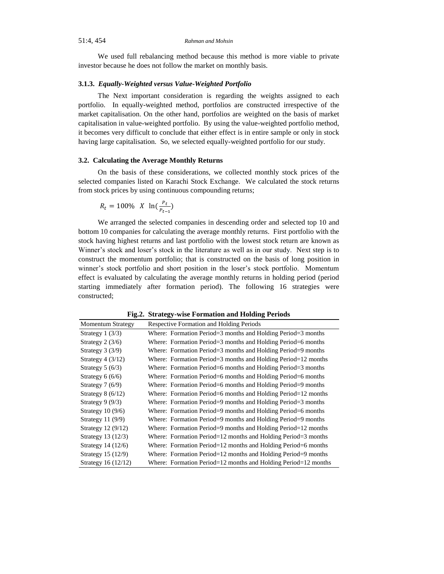We used full rebalancing method because this method is more viable to private investor because he does not follow the market on monthly basis.

#### **3.1.3.** *Equally-Weighted versus Value-Weighted Portfolio*

The Next important consideration is regarding the weights assigned to each portfolio. In equally-weighted method, portfolios are constructed irrespective of the market capitalisation. On the other hand, portfolios are weighted on the basis of market capitalisation in value-weighted portfolio. By using the value-weighted portfolio method, it becomes very difficult to conclude that either effect is in entire sample or only in stock having large capitalisation. So, we selected equally-weighted portfolio for our study.

## **3.2. Calculating the Average Monthly Returns**

On the basis of these considerations, we collected monthly stock prices of the selected companies listed on Karachi Stock Exchange. We calculated the stock returns from stock prices by using continuous compounding returns;

$$
R_t = 100\% \, X \, \ln(\frac{P_t}{P_{t-1}})
$$

We arranged the selected companies in descending order and selected top 10 and bottom 10 companies for calculating the average monthly returns. First portfolio with the stock having highest returns and last portfolio with the lowest stock return are known as Winner's stock and loser's stock in the literature as well as in our study. Next step is to construct the momentum portfolio; that is constructed on the basis of long position in winner's stock portfolio and short position in the loser's stock portfolio. Momentum effect is evaluated by calculating the average monthly returns in holding period (period starting immediately after formation period). The following 16 strategies were constructed;

**Fig.2. Strategy-wise Formation and Holding Periods**

| <b>Momentum Strategy</b> | <b>Respective Formation and Holding Periods</b>                |
|--------------------------|----------------------------------------------------------------|
| Strategy $1(3/3)$        | Where: Formation Period=3 months and Holding Period=3 months   |
| Strategy $2(3/6)$        | Where: Formation Period=3 months and Holding Period=6 months   |
| Strategy $3(3/9)$        | Where: Formation Period=3 months and Holding Period=9 months   |
| Strategy $4(3/12)$       | Where: Formation Period=3 months and Holding Period=12 months  |
| Strategy $5(6/3)$        | Where: Formation Period=6 months and Holding Period=3 months   |
| Strategy $6(6/6)$        | Where: Formation Period=6 months and Holding Period=6 months   |
| Strategy $7(6/9)$        | Where: Formation Period=6 months and Holding Period=9 months   |
| Strategy $8(6/12)$       | Where: Formation Period=6 months and Holding Period=12 months  |
| Strategy $9(9/3)$        | Where: Formation Period=9 months and Holding Period=3 months   |
| Strategy $10(9/6)$       | Where: Formation Period=9 months and Holding Period=6 months   |
| Strategy 11 $(9/9)$      | Where: Formation Period=9 months and Holding Period=9 months   |
| Strategy 12 (9/12)       | Where: Formation Period=9 months and Holding Period=12 months  |
| Strategy 13 (12/3)       | Where: Formation Period=12 months and Holding Period=3 months  |
| Strategy 14 (12/6)       | Where: Formation Period=12 months and Holding Period=6 months  |
| Strategy 15 (12/9)       | Where: Formation Period=12 months and Holding Period=9 months  |
| Strategy 16 (12/12)      | Where: Formation Period=12 months and Holding Period=12 months |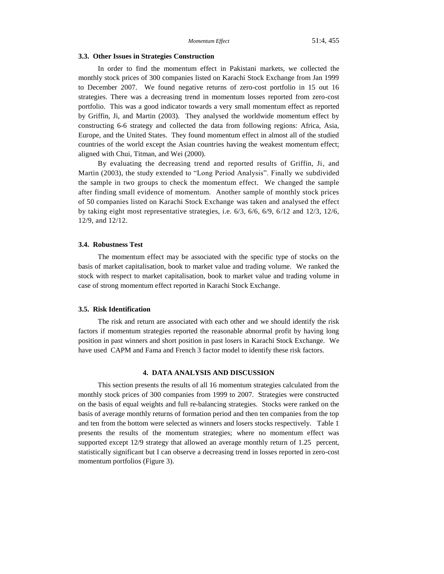#### **3.3. Other Issues in Strategies Construction**

In order to find the momentum effect in Pakistani markets, we collected the monthly stock prices of 300 companies listed on Karachi Stock Exchange from Jan 1999 to December 2007. We found negative returns of zero-cost portfolio in 15 out 16 strategies. There was a decreasing trend in momentum losses reported from zero-cost portfolio. This was a good indicator towards a very small momentum effect as reported by Griffin, Ji, and Martin (2003). They analysed the worldwide momentum effect by constructing 6-6 strategy and collected the data from following regions: Africa, Asia, Europe, and the United States. They found momentum effect in almost all of the studied countries of the world except the Asian countries having the weakest momentum effect; aligned with Chui, Titman, and Wei (2000).

By evaluating the decreasing trend and reported results of Griffin, Ji, and Martin (2003), the study extended to "Long Period Analysis". Finally we subdivided the sample in two groups to check the momentum effect. We changed the sample after finding small evidence of momentum. Another sample of monthly stock prices of 50 companies listed on Karachi Stock Exchange was taken and analysed the effect by taking eight most representative strategies, i.e. 6/3, 6/6, 6/9, 6/12 and 12/3, 12/6, 12/9, and 12/12.

#### **3.4. Robustness Test**

The momentum effect may be associated with the specific type of stocks on the basis of market capitalisation, book to market value and trading volume. We ranked the stock with respect to market capitalisation, book to market value and trading volume in case of strong momentum effect reported in Karachi Stock Exchange.

#### **3.5. Risk Identification**

The risk and return are associated with each other and we should identify the risk factors if momentum strategies reported the reasonable abnormal profit by having long position in past winners and short position in past losers in Karachi Stock Exchange. We have used CAPM and Fama and French 3 factor model to identify these risk factors.

# **4. DATA ANALYSIS AND DISCUSSION**

This section presents the results of all 16 momentum strategies calculated from the monthly stock prices of 300 companies from 1999 to 2007. Strategies were constructed on the basis of equal weights and full re-balancing strategies. Stocks were ranked on the basis of average monthly returns of formation period and then ten companies from the top and ten from the bottom were selected as winners and losers stocks respectively. Table 1 presents the results of the momentum strategies; where no momentum effect was supported except 12/9 strategy that allowed an average monthly return of 1.25 percent, statistically significant but I can observe a decreasing trend in losses reported in zero-cost momentum portfolios (Figure 3).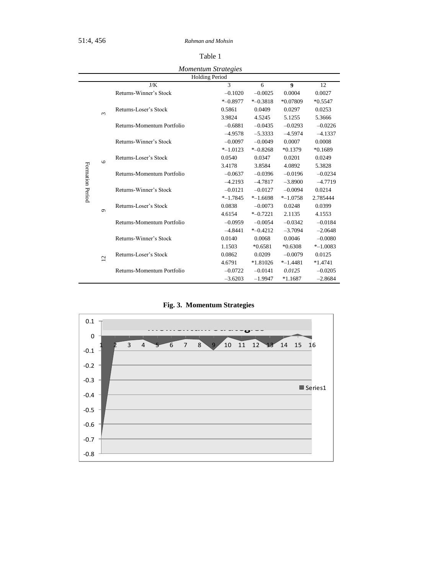51:4, 456 *Rahman and Mohsin*

| ×<br>٧<br>× |  |
|-------------|--|

*Momentum Strategies*

| <i>Momentum Strategies</i><br><b>Holding Period</b> |                |                            |             |             |                  |             |  |
|-----------------------------------------------------|----------------|----------------------------|-------------|-------------|------------------|-------------|--|
|                                                     |                |                            |             |             |                  |             |  |
|                                                     |                | J/K                        | 3           | 6           | $\boldsymbol{Q}$ | 12          |  |
|                                                     |                | Returns-Winner's Stock     | $-0.1020$   | $-0.0025$   | 0.0004           | 0.0027      |  |
|                                                     |                |                            | $*$ -0.8977 | $*$ -0.3818 | *0.07809         | $*0.5547$   |  |
|                                                     | $\epsilon$     | Returns-Loser's Stock      | 0.5861      | 0.0409      | 0.0297           | 0.0253      |  |
|                                                     |                |                            | 3.9824      | 4.5245      | 5.1255           | 5.3666      |  |
|                                                     |                | Returns-Momentum Portfolio | $-0.6881$   | $-0.0435$   | $-0.0293$        | $-0.0226$   |  |
|                                                     |                |                            | $-4.9578$   | $-5.3333$   | $-4.5974$        | $-4.1337$   |  |
|                                                     |                | Returns-Winner's Stock     | $-0.0097$   | $-0.0049$   | 0.0007           | 0.0008      |  |
|                                                     |                |                            | $*$ -1.0123 | $* -0.8268$ | $*0.1379$        | $*0.1689$   |  |
|                                                     | $\circ$        | Returns-Loser's Stock      | 0.0540      | 0.0347      | 0.0201           | 0.0249      |  |
|                                                     |                |                            | 3.4178      | 3.8584      | 4.0892           | 5.3828      |  |
|                                                     |                | Returns-Momentum Portfolio | $-0.0637$   | $-0.0396$   | $-0.0196$        | $-0.0234$   |  |
|                                                     |                |                            | $-4.2193$   | $-4.7817$   | $-3.8900$        | $-4.7719$   |  |
|                                                     |                | Returns-Winner's Stock     | $-0.0121$   | $-0.0127$   | $-0.0094$        | 0.0214      |  |
| Formation Period                                    |                |                            | $* -1.7845$ | $*$ -1.6698 | $* - 1.0758$     | 2.785444    |  |
|                                                     |                | Returns-Loser's Stock      | 0.0838      | $-0.0073$   | 0.0248           | 0.0399      |  |
|                                                     | $\sigma$       |                            | 4.6154      | $* -0.7221$ | 2.1135           | 4.1553      |  |
|                                                     |                | Returns-Momentum Portfolio | $-0.0959$   | $-0.0054$   | $-0.0342$        | $-0.0184$   |  |
|                                                     |                |                            | $-4.8441$   | $* -0.4212$ | $-3.7094$        | $-2.0648$   |  |
|                                                     |                | Returns-Winner's Stock     | 0.0140      | 0.0068      | 0.0046           | $-0.0080$   |  |
|                                                     |                |                            | 1.1503      | $*0.6581$   | $*0.6308$        | $* -1.0083$ |  |
|                                                     |                | Returns-Loser's Stock      | 0.0862      | 0.0209      | $-0.0079$        | 0.0125      |  |
|                                                     | $\overline{c}$ |                            | 4.6791      | *1.81026    | $* - 1.4481$     | $*1.4741$   |  |
|                                                     |                | Returns-Momentum Portfolio | $-0.0722$   | $-0.0141$   | 0.0125           | $-0.0205$   |  |
|                                                     |                |                            | $-3.6203$   | $-1.9947$   | $*1.1687$        | $-2.8684$   |  |

**Fig. 3. Momentum Strategies**

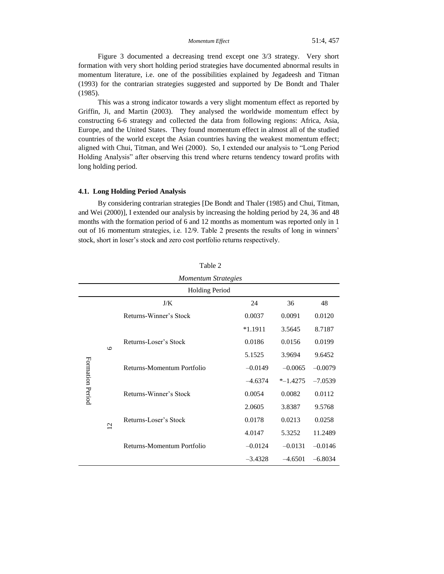*Momentum Effect* 51:4, 457

Figure 3 documented a decreasing trend except one 3/3 strategy. Very short formation with very short holding period strategies have documented abnormal results in momentum literature, i.e. one of the possibilities explained by Jegadeesh and Titman (1993) for the contrarian strategies suggested and supported by De Bondt and Thaler (1985).

This was a strong indicator towards a very slight momentum effect as reported by Griffin, Ji, and Martin (2003). They analysed the worldwide momentum effect by constructing 6-6 strategy and collected the data from following regions: Africa, Asia, Europe, and the United States. They found momentum effect in almost all of the studied countries of the world except the Asian countries having the weakest momentum effect; aligned with Chui, Titman, and Wei (2000). So, I extended our analysis to "Long Period Holding Analysis" after observing this trend where returns tendency toward profits with long holding period.

#### **4.1. Long Holding Period Analysis**

By considering contrarian strategies [De Bondt and Thaler (1985) and Chui, Titman, and Wei (2000)], I extended our analysis by increasing the holding period by 24, 36 and 48 months with the formation period of 6 and 12 months as momentum was reported only in 1 out of 16 momentum strategies, i.e. 12/9. Table 2 presents the results of long in winners' stock, short in loser's stock and zero cost portfolio returns respectively.

|                       |                 | <b>Momentum Strategies</b> |           |             |           |  |
|-----------------------|-----------------|----------------------------|-----------|-------------|-----------|--|
| <b>Holding Period</b> |                 |                            |           |             |           |  |
|                       |                 | J/K                        | 24        | 36          | 48        |  |
| Formation Period      |                 | Returns-Winner's Stock     | 0.0037    | 0.0091      | 0.0120    |  |
|                       |                 |                            | $*1.1911$ | 3.5645      | 8.7187    |  |
|                       |                 | Returns-Loser's Stock      | 0.0186    | 0.0156      | 0.0199    |  |
|                       | $\circ$         |                            | 5.1525    | 3.9694      | 9.6452    |  |
|                       |                 | Returns-Momentum Portfolio | $-0.0149$ | $-0.0065$   | $-0.0079$ |  |
|                       |                 |                            | $-4.6374$ | $*$ -1.4275 | $-7.0539$ |  |
|                       |                 | Returns-Winner's Stock     | 0.0054    | 0.0082      | 0.0112    |  |
|                       |                 |                            | 2.0605    | 3.8387      | 9.5768    |  |
|                       |                 | Returns-Loser's Stock      | 0.0178    | 0.0213      | 0.0258    |  |
|                       | $\overline{12}$ |                            | 4.0147    | 5.3252      | 11.2489   |  |
|                       |                 | Returns-Momentum Portfolio | $-0.0124$ | $-0.0131$   | $-0.0146$ |  |
|                       |                 |                            | $-3.4328$ | $-4.6501$   | $-6.8034$ |  |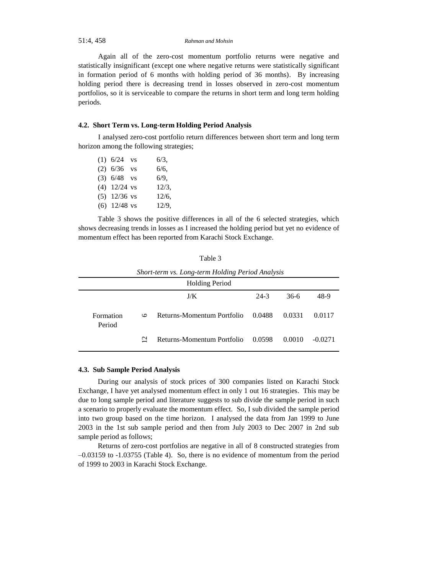# 51:4, 458 *Rahman and Mohsin*

Again all of the zero-cost momentum portfolio returns were negative and statistically insignificant (except one where negative returns were statistically significant in formation period of 6 months with holding period of 36 months). By increasing holding period there is decreasing trend in losses observed in zero-cost momentum portfolios, so it is serviceable to compare the returns in short term and long term holding periods.

### **4.2. Short Term vs. Long-term Holding Period Analysis**

I analysed zero-cost portfolio return differences between short term and long term horizon among the following strategies;

| $(1)$ 6/24 vs  | 6/3,     |
|----------------|----------|
| $(2)$ 6/36 vs  | 6/6,     |
| $(3)$ 6/48 vs  | 6/9,     |
| $(4)$ 12/24 vs | $12/3$ , |
| $(5)$ 12/36 vs | 12/6,    |
| $(6)$ 12/48 vs | 12/9.    |

Table 3 shows the positive differences in all of the 6 selected strategies, which shows decreasing trends in losses as I increased the holding period but yet no evidence of momentum effect has been reported from Karachi Stock Exchange.

| <b>Holding Period</b> |                           |                                   |        |        |           |
|-----------------------|---------------------------|-----------------------------------|--------|--------|-----------|
|                       |                           | J/K                               | $24-3$ | 36-6   | 48-9      |
| Formation<br>Period   | Ó                         | Returns-Momentum Portfolio 0.0488 |        | 0.0331 | 0.0117    |
|                       | $\overline{\mathfrak{c}}$ | Returns-Momentum Portfolio 0.0598 |        | 0.0010 | $-0.0271$ |

*Short-term vs. Long-term Holding Period Analysis*

# **4.3. Sub Sample Period Analysis**

During our analysis of stock prices of 300 companies listed on Karachi Stock Exchange, I have yet analysed momentum effect in only 1 out 16 strategies. This may be due to long sample period and literature suggests to sub divide the sample period in such a scenario to properly evaluate the momentum effect. So, I sub divided the sample period into two group based on the time horizon. I analysed the data from Jan 1999 to June 2003 in the 1st sub sample period and then from July 2003 to Dec 2007 in 2nd sub sample period as follows;

Returns of zero-cost portfolios are negative in all of 8 constructed strategies from –0.03159 to -1.03755 (Table 4). So, there is no evidence of momentum from the period of 1999 to 2003 in Karachi Stock Exchange.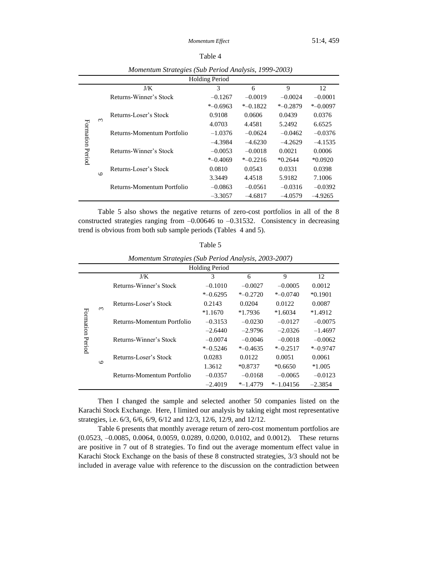| ıΓ<br>., |  |
|----------|--|
|----------|--|

|                       |          | $\mathbf \sigma$           |             |             |             |             |  |  |
|-----------------------|----------|----------------------------|-------------|-------------|-------------|-------------|--|--|
| <b>Holding Period</b> |          |                            |             |             |             |             |  |  |
|                       |          | J/K                        | 3           | 6           | 9           | 12          |  |  |
|                       |          | Returns-Winner's Stock     | $-0.1267$   | $-0.0019$   | $-0.0024$   | $-0.0001$   |  |  |
| Formation Period      |          |                            | $*$ -0.6963 | $*$ -0.1822 | $*$ -0.2879 | $*$ -0.0097 |  |  |
|                       |          | Returns-Loser's Stock      | 0.9108      | 0.0606      | 0.0439      | 0.0376      |  |  |
|                       | $\omega$ |                            | 4.0703      | 4.4581      | 5.2492      | 6.6525      |  |  |
|                       |          | Returns-Momentum Portfolio | $-1.0376$   | $-0.0624$   | $-0.0462$   | $-0.0376$   |  |  |
|                       |          |                            | $-4.3984$   | $-4.6230$   | $-4.2629$   | $-4.1535$   |  |  |
|                       |          | Returns-Winner's Stock     | $-0.0053$   | $-0.0018$   | 0.0021      | 0.0006      |  |  |
|                       |          |                            | $* -0.4069$ | $*$ -0.2216 | $*0.2644$   | $*0.0920$   |  |  |
|                       |          | Returns-Loser's Stock      | 0.0810      | 0.0543      | 0.0331      | 0.0398      |  |  |
|                       | $\circ$  |                            | 3.3449      | 4.4518      | 5.9182      | 7.1006      |  |  |
|                       |          | Returns-Momentum Portfolio | $-0.0863$   | $-0.0561$   | $-0.0316$   | $-0.0392$   |  |  |
|                       |          |                            | $-3.3057$   | $-4.6817$   | $-4.0579$   | $-4.9265$   |  |  |
|                       |          |                            |             |             |             |             |  |  |

*Momentum Strategies (Sub Period Analysis, 1999-2003)*

Table 5 also shows the negative returns of zero-cost portfolios in all of the 8 constructed strategies ranging from –0.00646 to –0.31532. Consistency in decreasing trend is obvious from both sub sample periods (Tables 4 and 5).

| $\sim$<br>۰.<br>۰,<br>×<br>×<br>×<br>٧ |
|----------------------------------------|
|----------------------------------------|

|  |  | Momentum Strategies (Sub Period Analysis, 2003-2007) |
|--|--|------------------------------------------------------|
|  |  |                                                      |

|                     |         |                            | <b>Holding Period</b> |             |              |             |
|---------------------|---------|----------------------------|-----------------------|-------------|--------------|-------------|
|                     |         | J/K                        | 3                     | 6           | 9            | 12          |
| Formation<br>Period |         | Returns-Winner's Stock     | $-0.1010$             | $-0.0027$   | $-0.0005$    | 0.0012      |
|                     |         |                            | $*$ -0.6295           | $* -0.2720$ | $*$ -0.0740  | $*0.1901$   |
|                     |         | Returns-Loser's Stock      | 0.2143                | 0.0204      | 0.0122       | 0.0087      |
|                     | $\sim$  |                            | $*1.1670$             | $*1.7936$   | $*1.6034$    | $*1.4912$   |
|                     |         | Returns-Momentum Portfolio | $-0.3153$             | $-0.0230$   | $-0.0127$    | $-0.0075$   |
|                     |         |                            | $-2.6440$             | $-2.9796$   | $-2.0326$    | $-1.4697$   |
|                     |         | Returns-Winner's Stock     | $-0.0074$             | $-0.0046$   | $-0.0018$    | $-0.0062$   |
|                     |         |                            | $*$ -0.5246           | $* -0.4635$ | $*$ -0.2517  | $*$ -0.9747 |
|                     |         | Returns-Loser's Stock      | 0.0283                | 0.0122      | 0.0051       | 0.0061      |
|                     | $\circ$ |                            | 1.3612                | $*0.8737$   | $*0.6650$    | $*1.005$    |
|                     |         | Returns-Momentum Portfolio | $-0.0357$             | $-0.0168$   | $-0.0065$    | $-0.0123$   |
|                     |         |                            | $-2.4019$             | $*$ -1.4779 | $*$ -1.04156 | $-2.3854$   |

Then I changed the sample and selected another 50 companies listed on the Karachi Stock Exchange. Here, I limited our analysis by taking eight most representative strategies, i.e. 6/3, 6/6, 6/9, 6/12 and 12/3, 12/6, 12/9, and 12/12.

Table 6 presents that monthly average return of zero-cost momentum portfolios are (0.0523, –0.0085, 0.0064, 0.0059, 0.0289, 0.0200, 0.0102, and 0.0012). These returns are positive in 7 out of 8 strategies. To find out the average momentum effect value in Karachi Stock Exchange on the basis of these 8 constructed strategies, 3/3 should not be included in average value with reference to the discussion on the contradiction between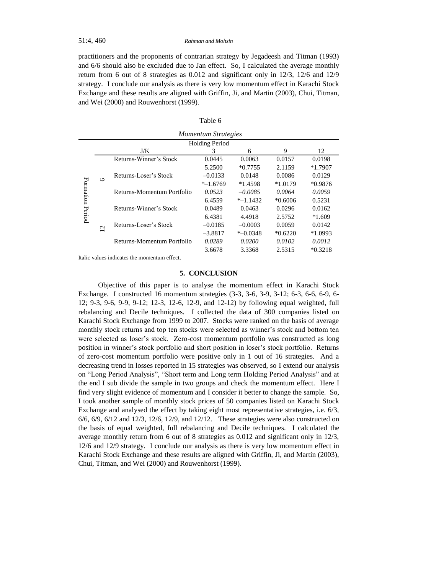practitioners and the proponents of contrarian strategy by Jegadeesh and Titman (1993) and 6/6 should also be excluded due to Jan effect. So, I calculated the average monthly return from 6 out of 8 strategies as 0.012 and significant only in 12/3, 12/6 and 12/9 strategy. I conclude our analysis as there is very low momentum effect in Karachi Stock Exchange and these results are aligned with Griffin, Ji, and Martin (2003), Chui, Titman, and Wei (2000) and Rouwenhorst (1999).

| ıe<br>an |  |
|----------|--|
|----------|--|

| <b>Momentum Strategies</b> |                 |                            |             |             |           |           |  |
|----------------------------|-----------------|----------------------------|-------------|-------------|-----------|-----------|--|
| <b>Holding Period</b>      |                 |                            |             |             |           |           |  |
|                            |                 | J/K                        | 3           | 6           | 9         | 12        |  |
| Formation<br>Period        |                 | Returns-Winner's Stock     | 0.0445      | 0.0063      | 0.0157    | 0.0198    |  |
|                            |                 |                            | 5.2500      | $*0.7755$   | 2.1159    | $*1.7907$ |  |
|                            | $\mathbf \circ$ | Returns-Loser's Stock      | $-0.0133$   | 0.0148      | 0.0086    | 0.0129    |  |
|                            |                 |                            | $*$ -1.6769 | $*1.4598$   | $*1.0179$ | $*0.9876$ |  |
|                            |                 | Returns-Momentum Portfolio | 0.0523      | $-0.0085$   | 0.0064    | 0.0059    |  |
|                            |                 |                            | 6.4559      | $*$ -1.1432 | $*0.6006$ | 0.5231    |  |
|                            |                 | Returns-Winner's Stock     | 0.0489      | 0.0463      | 0.0296    | 0.0162    |  |
|                            |                 |                            | 6.4381      | 4.4918      | 2.5752    | $*1.609$  |  |
|                            | $\overline{2}$  | Returns-Loser's Stock      | $-0.0185$   | $-0.0003$   | 0.0059    | 0.0142    |  |
|                            |                 |                            | $-3.8817$   | $*$ -0.0348 | $*0.6220$ | $*1.0993$ |  |
|                            |                 | Returns-Momentum Portfolio | 0.0289      | 0.0200      | 0.0102    | 0.0012    |  |
|                            |                 |                            | 3.6678      | 3.3368      | 2.5315    | $*0.3218$ |  |

Italic values indicates the momentum effect.

# **5. CONCLUSION**

Objective of this paper is to analyse the momentum effect in Karachi Stock Exchange. I constructed 16 momentum strategies (3-3, 3-6, 3-9, 3-12; 6-3, 6-6, 6-9, 6- 12; 9-3, 9-6, 9-9, 9-12; 12-3, 12-6, 12-9, and 12-12) by following equal weighted, full rebalancing and Decile techniques. I collected the data of 300 companies listed on Karachi Stock Exchange from 1999 to 2007. Stocks were ranked on the basis of average monthly stock returns and top ten stocks were selected as winner's stock and bottom ten were selected as loser's stock. Zero-cost momentum portfolio was constructed as long position in winner's stock portfolio and short position in loser's stock portfolio. Returns of zero-cost momentum portfolio were positive only in 1 out of 16 strategies. And a decreasing trend in losses reported in 15 strategies was observed, so I extend our analysis on "Long Period Analysis", "Short term and Long term Holding Period Analysis" and at the end I sub divide the sample in two groups and check the momentum effect. Here I find very slight evidence of momentum and I consider it better to change the sample. So, I took another sample of monthly stock prices of 50 companies listed on Karachi Stock Exchange and analysed the effect by taking eight most representative strategies, i.e. 6/3, 6/6, 6/9, 6/12 and 12/3, 12/6, 12/9, and 12/12. These strategies were also constructed on the basis of equal weighted, full rebalancing and Decile techniques. I calculated the average monthly return from 6 out of 8 strategies as 0.012 and significant only in 12/3, 12/6 and 12/9 strategy. I conclude our analysis as there is very low momentum effect in Karachi Stock Exchange and these results are aligned with Griffin, Ji, and Martin (2003), Chui, Titman, and Wei (2000) and Rouwenhorst (1999).